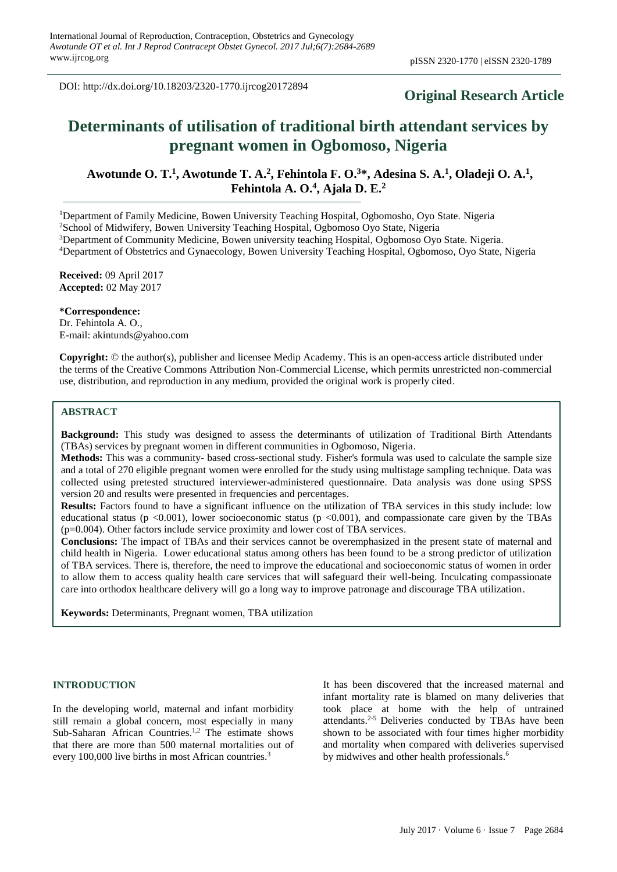DOI: http://dx.doi.org/10.18203/2320-1770.ijrcog20172894

# **Original Research Article**

# **Determinants of utilisation of traditional birth attendant services by pregnant women in Ogbomoso, Nigeria**

Awotunde O. T.<sup>1</sup>, Awotunde T. A.<sup>2</sup>, Fehintola F. O.<sup>3\*</sup>, Adesina S. A.<sup>1</sup>, Oladeji O. A.<sup>1</sup>, **Fehintola A. O. 4 , Ajala D. E. 2**

<sup>1</sup>Department of Family Medicine, Bowen University Teaching Hospital, Ogbomosho, Oyo State. Nigeria

<sup>2</sup>School of Midwifery, Bowen University Teaching Hospital, Ogbomoso Oyo State, Nigeria

<sup>3</sup>Department of Community Medicine, Bowen university teaching Hospital, Ogbomoso Oyo State. Nigeria.

<sup>4</sup>Department of Obstetrics and Gynaecology, Bowen University Teaching Hospital, Ogbomoso, Oyo State, Nigeria

**Received:** 09 April 2017 **Accepted:** 02 May 2017

**\*Correspondence:**

Dr. Fehintola A. O., E-mail: akintunds@yahoo.com

**Copyright:** © the author(s), publisher and licensee Medip Academy. This is an open-access article distributed under the terms of the Creative Commons Attribution Non-Commercial License, which permits unrestricted non-commercial use, distribution, and reproduction in any medium, provided the original work is properly cited.

#### **ABSTRACT**

**Background:** This study was designed to assess the determinants of utilization of Traditional Birth Attendants (TBAs) services by pregnant women in different communities in Ogbomoso, Nigeria.

**Methods:** This was a community- based cross-sectional study. Fisher's formula was used to calculate the sample size and a total of 270 eligible pregnant women were enrolled for the study using multistage sampling technique. Data was collected using pretested structured interviewer-administered questionnaire. Data analysis was done using SPSS version 20 and results were presented in frequencies and percentages.

**Results:** Factors found to have a significant influence on the utilization of TBA services in this study include: low educational status ( $p \le 0.001$ ), lower socioeconomic status ( $p \le 0.001$ ), and compassionate care given by the TBAs (p=0.004). Other factors include service proximity and lower cost of TBA services.

**Conclusions:** The impact of TBAs and their services cannot be overemphasized in the present state of maternal and child health in Nigeria. Lower educational status among others has been found to be a strong predictor of utilization of TBA services. There is, therefore, the need to improve the educational and socioeconomic status of women in order to allow them to access quality health care services that will safeguard their well-being. Inculcating compassionate care into orthodox healthcare delivery will go a long way to improve patronage and discourage TBA utilization.

**Keywords:** Determinants, Pregnant women, TBA utilization

#### **INTRODUCTION**

In the developing world, maternal and infant morbidity still remain a global concern, most especially in many Sub-Saharan African Countries. 1,2 The estimate shows that there are more than 500 maternal mortalities out of every 100,000 live births in most African countries.<sup>3</sup>

It has been discovered that the increased maternal and infant mortality rate is blamed on many deliveries that took place at home with the help of untrained attendants. 2-5 Deliveries conducted by TBAs have been shown to be associated with four times higher morbidity and mortality when compared with deliveries supervised by midwives and other health professionals.<sup>6</sup>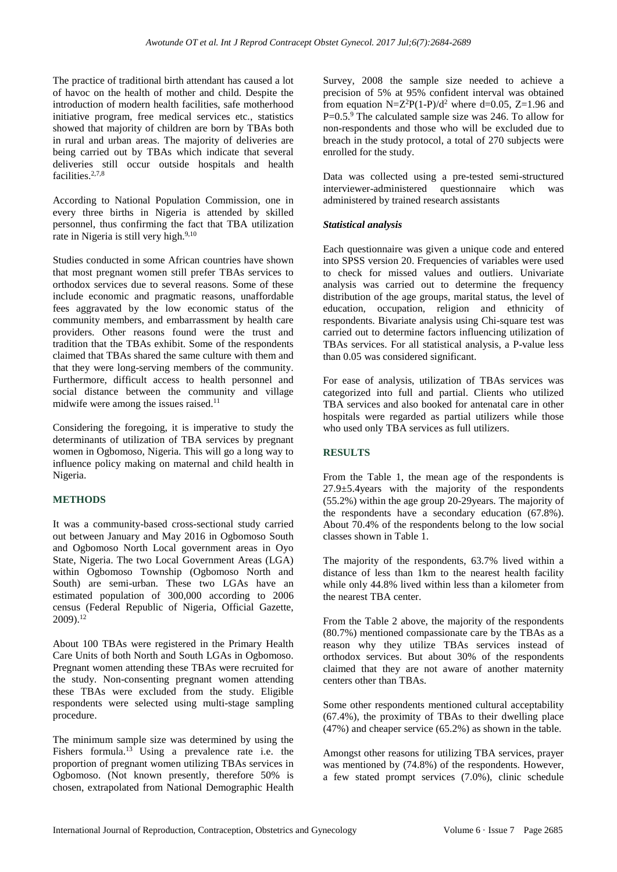The practice of traditional birth attendant has caused a lot of havoc on the health of mother and child. Despite the introduction of modern health facilities, safe motherhood initiative program, free medical services etc., statistics showed that majority of children are born by TBAs both in rural and urban areas. The majority of deliveries are being carried out by TBAs which indicate that several deliveries still occur outside hospitals and health facilities. 2,7,8

According to National Population Commission, one in every three births in Nigeria is attended by skilled personnel, thus confirming the fact that TBA utilization rate in Nigeria is still very high.<sup>9,10</sup>

Studies conducted in some African countries have shown that most pregnant women still prefer TBAs services to orthodox services due to several reasons. Some of these include economic and pragmatic reasons, unaffordable fees aggravated by the low economic status of the community members, and embarrassment by health care providers. Other reasons found were the trust and tradition that the TBAs exhibit. Some of the respondents claimed that TBAs shared the same culture with them and that they were long-serving members of the community. Furthermore, difficult access to health personnel and social distance between the community and village midwife were among the issues raised. 11

Considering the foregoing, it is imperative to study the determinants of utilization of TBA services by pregnant women in Ogbomoso, Nigeria. This will go a long way to influence policy making on maternal and child health in Nigeria.

## **METHODS**

It was a community-based cross-sectional study carried out between January and May 2016 in Ogbomoso South and Ogbomoso North Local government areas in Oyo State, Nigeria. The two Local Government Areas (LGA) within Ogbomoso Township (Ogbomoso North and South) are semi-urban. These two LGAs have an estimated population of 300,000 according to 2006 census (Federal Republic of Nigeria, Official Gazette, 2009). 12

About 100 TBAs were registered in the Primary Health Care Units of both North and South LGAs in Ogbomoso. Pregnant women attending these TBAs were recruited for the study. Non-consenting pregnant women attending these TBAs were excluded from the study. Eligible respondents were selected using multi-stage sampling procedure.

The minimum sample size was determined by using the Fishers formula. <sup>13</sup> Using a prevalence rate i.e. the proportion of pregnant women utilizing TBAs services in Ogbomoso. (Not known presently, therefore 50% is chosen, extrapolated from National Demographic Health Survey, 2008 the sample size needed to achieve a precision of 5% at 95% confident interval was obtained from equation  $N=Z^2P(1-P)/d^2$  where d=0.05, Z=1.96 and P=0.5.<sup>9</sup> The calculated sample size was 246. To allow for non-respondents and those who will be excluded due to breach in the study protocol, a total of 270 subjects were enrolled for the study.

Data was collected using a pre-tested semi-structured interviewer-administered questionnaire which was administered by trained research assistants

## *Statistical analysis*

Each questionnaire was given a unique code and entered into SPSS version 20. Frequencies of variables were used to check for missed values and outliers. Univariate analysis was carried out to determine the frequency distribution of the age groups, marital status, the level of education, occupation, religion and ethnicity of respondents. Bivariate analysis using Chi-square test was carried out to determine factors influencing utilization of TBAs services. For all statistical analysis, a P-value less than 0.05 was considered significant.

For ease of analysis, utilization of TBAs services was categorized into full and partial. Clients who utilized TBA services and also booked for antenatal care in other hospitals were regarded as partial utilizers while those who used only TBA services as full utilizers.

# **RESULTS**

From the Table 1, the mean age of the respondents is 27.9±5.4years with the majority of the respondents (55.2%) within the age group 20-29years. The majority of the respondents have a secondary education (67.8%). About 70.4% of the respondents belong to the low social classes shown in Table 1.

The majority of the respondents, 63.7% lived within a distance of less than 1km to the nearest health facility while only 44.8% lived within less than a kilometer from the nearest TBA center.

From the Table 2 above, the majority of the respondents (80.7%) mentioned compassionate care by the TBAs as a reason why they utilize TBAs services instead of orthodox services. But about 30% of the respondents claimed that they are not aware of another maternity centers other than TBAs.

Some other respondents mentioned cultural acceptability (67.4%), the proximity of TBAs to their dwelling place (47%) and cheaper service (65.2%) as shown in the table.

Amongst other reasons for utilizing TBA services, prayer was mentioned by (74.8%) of the respondents. However, a few stated prompt services (7.0%), clinic schedule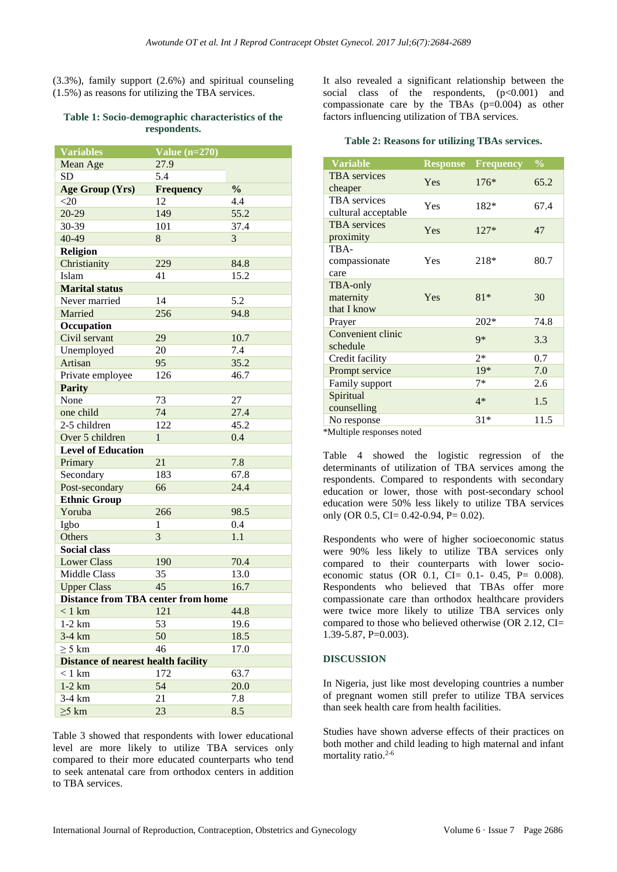(3.3%), family support (2.6%) and spiritual counseling (1.5%) as reasons for utilizing the TBA services.

#### **Table 1: Socio-demographic characteristics of the respondents.**

| <b>Variables</b>                           | Value $(n=270)$  |               |  |  |
|--------------------------------------------|------------------|---------------|--|--|
| Mean Age                                   | 27.9             |               |  |  |
| <b>SD</b>                                  | 5.4              |               |  |  |
| Age Group (Yrs)                            | <b>Frequency</b> | $\frac{0}{0}$ |  |  |
| $<$ 20                                     | 12               | 4.4           |  |  |
| $20-29$                                    | 149              | 55.2          |  |  |
| 30-39                                      | 101              | 37.4          |  |  |
| 40-49                                      | 8                | 3             |  |  |
| <b>Religion</b>                            |                  |               |  |  |
| Christianity                               | 229              | 84.8          |  |  |
| Islam                                      | 41               | 15.2          |  |  |
| <b>Marital status</b>                      |                  |               |  |  |
| Never married                              | 14               | 5.2           |  |  |
| Married                                    | 256              | 94.8          |  |  |
| Occupation                                 |                  |               |  |  |
| Civil servant                              | 29               | 10.7          |  |  |
| Unemployed                                 | 20               | 7.4           |  |  |
| Artisan                                    | 95               | 35.2          |  |  |
| Private employee                           | 126              | 46.7          |  |  |
| <b>Parity</b>                              |                  |               |  |  |
| None                                       | 73               | 27            |  |  |
| one child                                  | 74               | 27.4          |  |  |
| 2-5 children                               | 122              | 45.2          |  |  |
| Over 5 children                            | 1                | 0.4           |  |  |
| <b>Level of Education</b>                  |                  |               |  |  |
| Primary                                    | 21               | 7.8           |  |  |
| Secondary                                  | 183              | 67.8          |  |  |
| Post-secondary                             | 66               | 24.4          |  |  |
| <b>Ethnic Group</b>                        |                  |               |  |  |
| Yoruba                                     | 266              | 98.5          |  |  |
| Igbo                                       | 1                | 0.4           |  |  |
| Others                                     | 3                | 1.1           |  |  |
| <b>Social class</b>                        |                  |               |  |  |
| <b>Lower Class</b>                         | 190              | 70.4          |  |  |
| <b>Middle Class</b>                        | 35               | 13.0          |  |  |
| <b>Upper Class</b>                         | 45               | 16.7          |  |  |
| <b>Distance from TBA center from home</b>  |                  |               |  |  |
| $<1~\mbox{km}$                             | 121              | 44.8          |  |  |
| $1-2$ km                                   | 53               | 19.6          |  |  |
| 3-4 km                                     | 50               | 18.5          |  |  |
| $\geq$ 5 km                                | 46               | 17.0          |  |  |
| <b>Distance of nearest health facility</b> |                  |               |  |  |
| $< 1$ km                                   | 172              | 63.7          |  |  |
| $1-2$ km                                   | 54               | 20.0          |  |  |
| 3-4 km                                     | 21               | 7.8           |  |  |
| $\geq$ 5 km                                | 23               | 8.5           |  |  |

Table 3 showed that respondents with lower educational level are more likely to utilize TBA services only compared to their more educated counterparts who tend to seek antenatal care from orthodox centers in addition to TBA services.

It also revealed a significant relationship between the social class of the respondents,  $(p<0.001)$  and compassionate care by the TBAs  $(p=0.004)$  as other factors influencing utilization of TBA services.

# **Table 2: Reasons for utilizing TBAs services.**

| <b>Variable</b>                            | <b>Response</b> | <b>Frequency</b> | $\frac{0}{0}$ |  |
|--------------------------------------------|-----------------|------------------|---------------|--|
| <b>TBA</b> services<br>cheaper             | Yes             | $176*$           | 65.2          |  |
| <b>TBA</b> services<br>cultural acceptable | Yes             | 182*             | 67.4          |  |
| <b>TBA</b> services<br>proximity           | Yes             | $127*$           | 47            |  |
| TBA-<br>compassionate<br>care              | Yes             | 218*             | 80.7          |  |
| TBA-only<br>maternity<br>that I know       | Yes             | $81*$            | 30            |  |
| Prayer                                     |                 | $202*$           | 74.8          |  |
| Convenient clinic<br>schedule              |                 | $9*$             | 3.3           |  |
| Credit facility                            |                 | $2*$             | 0.7           |  |
| Prompt service                             |                 | $19*$            | 7.0           |  |
| Family support                             |                 | $7*$             | 2.6           |  |
| Spiritual<br>counselling                   |                 | $4*$             | 1.5           |  |
| No response                                |                 | $31*$            | 11.5          |  |
| *Multiple responses noted                  |                 |                  |               |  |

ultiple responses i

Table 4 showed the logistic regression of the determinants of utilization of TBA services among the respondents. Compared to respondents with secondary education or lower, those with post-secondary school education were 50% less likely to utilize TBA services only (OR 0.5, CI= 0.42-0.94, P= 0.02).

Respondents who were of higher socioeconomic status were 90% less likely to utilize TBA services only compared to their counterparts with lower socioeconomic status (OR 0.1, CI= 0.1- 0.45, P= 0.008). Respondents who believed that TBAs offer more compassionate care than orthodox healthcare providers were twice more likely to utilize TBA services only compared to those who believed otherwise (OR 2.12, CI= 1.39-5.87, P=0.003).

# **DISCUSSION**

In Nigeria, just like most developing countries a number of pregnant women still prefer to utilize TBA services than seek health care from health facilities.

Studies have shown adverse effects of their practices on both mother and child leading to high maternal and infant mortality ratio. 2-6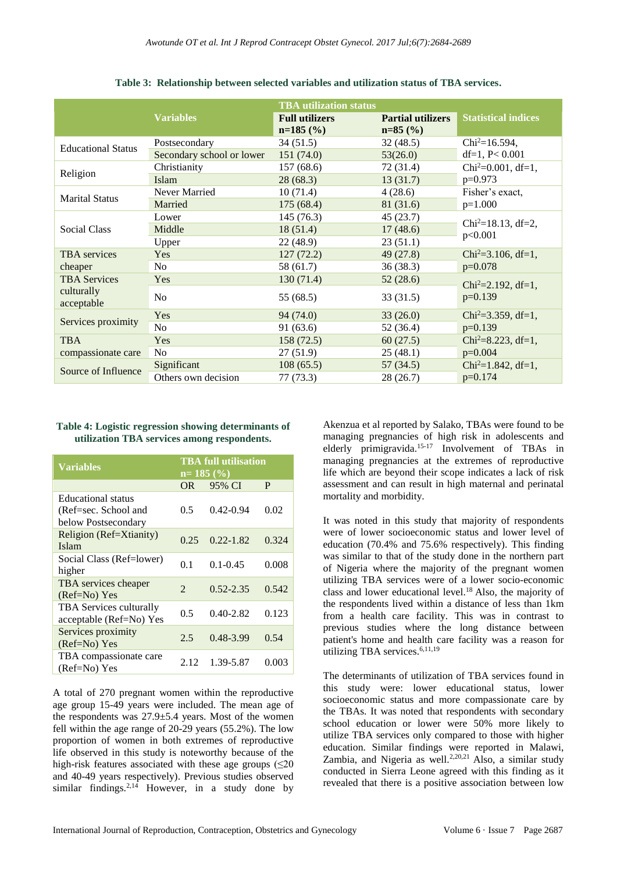|                           | <b>Variables</b>          | <b>TBA</b> utilization status<br><b>Full utilizers</b><br>$n=185$ (%) | <b>Partial utilizers</b><br>$n=85$ (%) | <b>Statistical indices</b>                  |  |
|---------------------------|---------------------------|-----------------------------------------------------------------------|----------------------------------------|---------------------------------------------|--|
| <b>Educational Status</b> | Postsecondary             | 34 (51.5)                                                             | 32(48.5)                               | $Chi^2 = 16.594$ ,                          |  |
|                           | Secondary school or lower | 151(74.0)                                                             | 53(26.0)                               | df=1, $P < 0.001$                           |  |
| Religion                  | Christianity              | 157(68.6)                                                             | 72 (31.4)                              | Chi <sup>2</sup> =0.001, df=1,              |  |
|                           | Islam                     | 28(68.3)                                                              | 13(31.7)                               | $p=0.973$                                   |  |
| <b>Marital Status</b>     | Never Married             | 10(71.4)                                                              | 4(28.6)                                | Fisher's exact,                             |  |
|                           | Married                   | 175(68.4)                                                             | 81 (31.6)                              | $p=1.000$                                   |  |
| <b>Social Class</b>       | Lower                     | 145 (76.3)                                                            | 45 (23.7)                              | Chi <sup>2</sup> =18.13, df=2,              |  |
|                           | Middle                    | 18(51.4)                                                              | 17(48.6)                               |                                             |  |
|                           | Upper                     | 22 (48.9)                                                             | 23(51.1)                               | p<0.001                                     |  |
| <b>TBA</b> services       | Yes                       | 127(72.2)                                                             | 49(27.8)                               | $Chi^2 = 3.106$ , df=1,<br>$p=0.078$        |  |
| cheaper                   | No.                       | 58 (61.7)                                                             | 36 (38.3)                              |                                             |  |
| <b>TBA Services</b>       | Yes                       | 130(71.4)                                                             | 52(28.6)                               | Chi <sup>2</sup> =2.192, df=1,<br>$p=0.139$ |  |
| culturally<br>acceptable  | N <sub>o</sub>            | 55 (68.5)                                                             | 33(31.5)                               |                                             |  |
| Services proximity        | Yes                       | 94 (74.0)                                                             | 33(26.0)                               | Chi <sup>2</sup> =3.359, df=1,              |  |
|                           | No.                       | 91(63.6)                                                              | 52 (36.4)                              | $p=0.139$                                   |  |
| <b>TBA</b>                | Yes                       | 158(72.5)                                                             | 60(27.5)                               | $Chi2=8.223$ , df=1,                        |  |
| compassionate care        | N <sub>0</sub>            | 27(51.9)                                                              | 25(48.1)                               | $p=0.004$                                   |  |
| Source of Influence       | Significant               | 108(65.5)                                                             | 57 (34.5)                              | Chi <sup>2</sup> =1.842, df=1,              |  |
|                           | Others own decision       | 77(73.3)                                                              | 28(26.7)                               | $p=0.174$                                   |  |

**Table 3: Relationship between selected variables and utilization status of TBA services.**

#### **Table 4: Logistic regression showing determinants of utilization TBA services among respondents.**

| <b>Variables</b>               | <b>TBA</b> full utilisation<br>$n=185(%)$ |               |       |
|--------------------------------|-------------------------------------------|---------------|-------|
|                                | OR.                                       | 95% CI        | P     |
| Educational status             |                                           |               |       |
| (Ref=sec. School and           | 0.5                                       | $0.42 - 0.94$ | 0.02  |
| below Postsecondary            |                                           |               |       |
| Religion (Ref=Xtianity)        | 0.25                                      | $0.22 - 1.82$ | 0.324 |
| Islam                          |                                           |               |       |
| Social Class (Ref=lower)       | 0.1                                       | $0.1 - 0.45$  | 0.008 |
| higher                         |                                           |               |       |
| TBA services cheaper           | $\overline{2}$                            | $0.52 - 2.35$ | 0.542 |
| $(Ref=No) Yes$                 |                                           |               |       |
| <b>TBA</b> Services culturally | 0.5                                       | $0.40 - 2.82$ | 0.123 |
| acceptable (Ref=No) Yes        |                                           |               |       |
| Services proximity             | 2.5                                       | 0.48-3.99     | 0.54  |
| $(Ref=No) Yes$                 |                                           |               |       |
| TBA compassionate care         |                                           |               |       |
| (Ref=No) Yes                   | 2.12                                      | 1.39-5.87     | 0.003 |

A total of 270 pregnant women within the reproductive age group 15-49 years were included. The mean age of the respondents was  $27.9 \pm 5.4$  years. Most of the women fell within the age range of 20-29 years (55.2%). The low proportion of women in both extremes of reproductive life observed in this study is noteworthy because of the high-risk features associated with these age groups  $(\leq 20)$ and 40-49 years respectively). Previous studies observed similar findings.<sup>2,14</sup> However, in a study done by Akenzua et al reported by Salako, TBAs were found to be managing pregnancies of high risk in adolescents and elderly primigravida.<sup>15-17</sup> Involvement of TBAs in managing pregnancies at the extremes of reproductive life which are beyond their scope indicates a lack of risk assessment and can result in high maternal and perinatal mortality and morbidity.

It was noted in this study that majority of respondents were of lower socioeconomic status and lower level of education (70.4% and 75.6% respectively). This finding was similar to that of the study done in the northern part of Nigeria where the majority of the pregnant women utilizing TBA services were of a lower socio-economic class and lower educational level. <sup>18</sup> Also, the majority of the respondents lived within a distance of less than 1km from a health care facility. This was in contrast to previous studies where the long distance between patient's home and health care facility was a reason for utilizing TBA services. 6,11,19

The determinants of utilization of TBA services found in this study were: lower educational status, lower socioeconomic status and more compassionate care by the TBAs. It was noted that respondents with secondary school education or lower were 50% more likely to utilize TBA services only compared to those with higher education. Similar findings were reported in Malawi, Zambia, and Nigeria as well.<sup>2,20,21</sup> Also, a similar study conducted in Sierra Leone agreed with this finding as it revealed that there is a positive association between low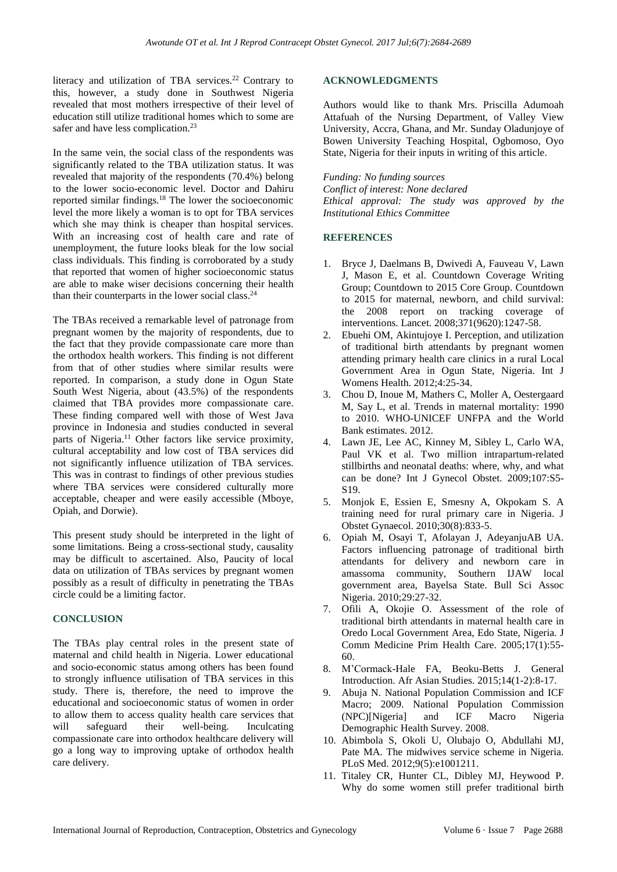literacy and utilization of TBA services. <sup>22</sup> Contrary to this, however, a study done in Southwest Nigeria revealed that most mothers irrespective of their level of education still utilize traditional homes which to some are safer and have less complication.<sup>23</sup>

In the same vein, the social class of the respondents was significantly related to the TBA utilization status. It was revealed that majority of the respondents (70.4%) belong to the lower socio-economic level. Doctor and Dahiru reported similar findings.<sup>18</sup> The lower the socioeconomic level the more likely a woman is to opt for TBA services which she may think is cheaper than hospital services. With an increasing cost of health care and rate of unemployment, the future looks bleak for the low social class individuals. This finding is corroborated by a study that reported that women of higher socioeconomic status are able to make wiser decisions concerning their health than their counterparts in the lower social class.<sup>24</sup>

The TBAs received a remarkable level of patronage from pregnant women by the majority of respondents, due to the fact that they provide compassionate care more than the orthodox health workers. This finding is not different from that of other studies where similar results were reported. In comparison, a study done in Ogun State South West Nigeria, about (43.5%) of the respondents claimed that TBA provides more compassionate care. These finding compared well with those of West Java province in Indonesia and studies conducted in several parts of Nigeria. <sup>11</sup> Other factors like service proximity, cultural acceptability and low cost of TBA services did not significantly influence utilization of TBA services. This was in contrast to findings of other previous studies where TBA services were considered culturally more acceptable, cheaper and were easily accessible (Mboye, Opiah, and Dorwie).

This present study should be interpreted in the light of some limitations. Being a cross-sectional study, causality may be difficult to ascertained. Also, Paucity of local data on utilization of TBAs services by pregnant women possibly as a result of difficulty in penetrating the TBAs circle could be a limiting factor.

## **CONCLUSION**

The TBAs play central roles in the present state of maternal and child health in Nigeria. Lower educational and socio-economic status among others has been found to strongly influence utilisation of TBA services in this study. There is, therefore, the need to improve the educational and socioeconomic status of women in order to allow them to access quality health care services that will safeguard their well-being. Inculcating compassionate care into orthodox healthcare delivery will go a long way to improving uptake of orthodox health care delivery.

## **ACKNOWLEDGMENTS**

Authors would like to thank Mrs. Priscilla Adumoah Attafuah of the Nursing Department, of Valley View University, Accra, Ghana, and Mr. Sunday Oladunjoye of Bowen University Teaching Hospital, Ogbomoso, Oyo State, Nigeria for their inputs in writing of this article.

*Funding: No funding sources Conflict of interest: None declared Ethical approval: The study was approved by the Institutional Ethics Committee*

## **REFERENCES**

- 1. Bryce J, Daelmans B, Dwivedi A, Fauveau V, Lawn J, Mason E, et al. Countdown Coverage Writing Group; Countdown to 2015 Core Group. Countdown to 2015 for maternal, newborn, and child survival: the 2008 report on tracking coverage of interventions. Lancet. 2008;371(9620):1247-58.
- 2. Ebuehi OM, Akintujoye I. Perception, and utilization of traditional birth attendants by pregnant women attending primary health care clinics in a rural Local Government Area in Ogun State, Nigeria. Int J Womens Health. 2012;4:25-34.
- 3. Chou D, Inoue M, Mathers C, Moller A, Oestergaard M, Say L, et al. Trends in maternal mortality: 1990 to 2010. WHO-UNICEF UNFPA and the World Bank estimates. 2012.
- 4. Lawn JE, Lee AC, Kinney M, Sibley L, Carlo WA, Paul VK et al. Two million intrapartum-related stillbirths and neonatal deaths: where, why, and what can be done? Int J Gynecol Obstet. 2009;107:S5- S19.
- 5. Monjok E, Essien E, Smesny A, Okpokam S. A training need for rural primary care in Nigeria. J Obstet Gynaecol. 2010;30(8):833-5.
- 6. Opiah M, Osayi T, Afolayan J, AdeyanjuAB UA. Factors influencing patronage of traditional birth attendants for delivery and newborn care in amassoma community, Southern IJAW local government area, Bayelsa State. Bull Sci Assoc Nigeria. 2010;29:27-32.
- 7. Ofili A, Okojie O. Assessment of the role of traditional birth attendants in maternal health care in Oredo Local Government Area, Edo State, Nigeria. J Comm Medicine Prim Health Care. 2005;17(1):55- 60.
- 8. M'Cormack-Hale FA, Beoku-Betts J. General Introduction. Afr Asian Studies. 2015;14(1-2):8-17.
- 9. Abuja N. National Population Commission and ICF Macro; 2009. National Population Commission (NPC)[Nigeria] and ICF Macro Nigeria Demographic Health Survey. 2008.
- 10. Abimbola S, Okoli U, Olubajo O, Abdullahi MJ, Pate MA. The midwives service scheme in Nigeria. PLoS Med. 2012;9(5):e1001211.
- 11. Titaley CR, Hunter CL, Dibley MJ, Heywood P. Why do some women still prefer traditional birth